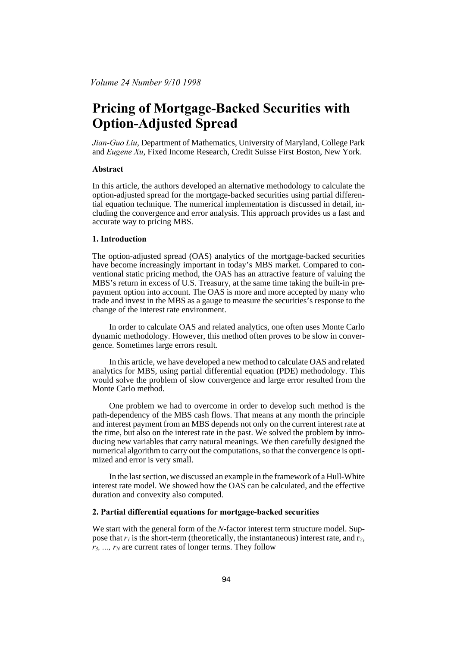# **Pricing of Mortgage-Backed Securities with Option- Adjusted Spread**

Jian- Guo Liu, Department of Mathematics, University of Maryland, College Park and *Eugene Xu*, Fixed Income Research, Credit Suisse First Boston, New York.

#### **Abstract**

In this article, the authors developed an alternative methodology to calculate the option-adjusted spread for the mortgage-backed securities using partial differential equation technique. The numerical implementation is discussed in detail, including the convergence and error analysis. This approach provides us a fast and accurate way to pricing MBS.

#### 1. Introduction

The option-adjusted spread (OAS) analytics of the mortgage-backed securities have become increasingly important in today's MBS market. Compared to conventional static pricing method, the OAS has an attractive feature of valuing the MBS's return in excess of U.S. Treasury, at the same time taking the built-in prepayment option into account. The OAS is more and more accepted by many who trade and invest in the MBS as a gauge to measure the securities's response to the change of the interest rate environment.

In order to calculate OAS and related analytics, one often uses Monte Carlo dynamic methodology. However, this method often proves to be slow in convergence. Sometimes large errors result.

In this article, we have developed a new method to calculate OAS and related analytics for MBS, using partial differential equation (PDE) methodology. This would solve the problem of slow convergence and large error resulted from the Monte Carlo method.

One problem we had to overcome in order to develop such method is the path-dependency of the MBS cash flows. That means at any month the principle and interest payment from an MBS depends not only on the current interest rate at the time, but also on the interest rate in the past. We solved the problem by introducing new variables that carry natural meanings. We then carefully designed the numerical algorithm to carry out the computations, so that the convergence is optimized and error is very small.

In the last section, we discussed an example in the framework of a Hull-White interest rate model. We showed how the  $OAS$  can be calculated, and the effective duration and convexity also computed.

#### **2. Partial differential equations for mortgage-backed securities**

We start with the general form of the *N*-factor interest term structure model. Suppose that  $r<sub>l</sub>$  is the short-term (theoretically, the instantaneous) interest rate, and  $r<sub>2</sub>$ ,  $r_3$ , ...,  $r_N$  are current rates of longer terms. They follow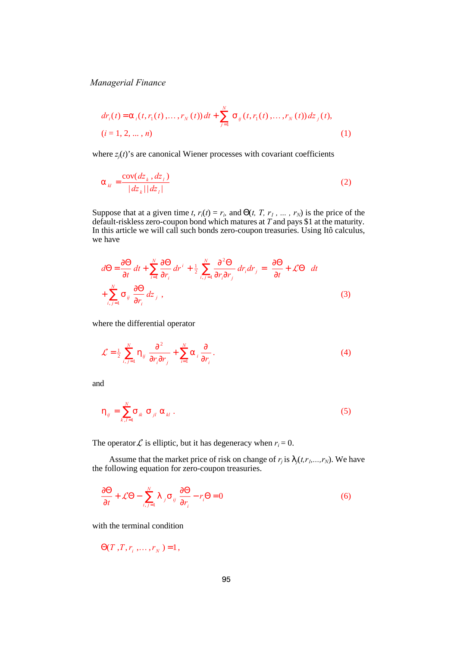$$
dr_i(t) = \alpha_i(t, r_1(t), \dots, r_N(t)) dt + \sum_{j=1}^N \sigma_{ij}(t, r_1(t), \dots, r_N(t)) dz_j(t),
$$
  
(i = 1, 2, ..., n) (1)

where  $z_j(t)$ 's are canonical Wiener processes with covariant coefficients

$$
\alpha_{kl} = \frac{\text{cov}(dz_k, dz_l)}{|dz_k||dz_l|}
$$
 (2)

Suppose that at a given time *t*,  $r_i(t) = r_i$ , and  $\Theta(t, T, r_1, ..., r_N)$  is the price of the default-riskless zero-coupon bond which matures at *T* and pays \$1 at the maturity. In this article we will call such bonds zero-coupon we have

$$
d\Theta = \frac{\partial \Theta}{\partial t} dt + \sum_{i=1}^{N} \frac{\partial \Theta}{\partial r_i} dr^i + \frac{1}{2} \sum_{i,j=1}^{N} \frac{\partial^2 \Theta}{\partial r_i \partial r_j} dr_i dr_j = \left(\frac{\partial \Theta}{\partial t} + \mathcal{L}\Theta\right) dt
$$
  
+ 
$$
\sum_{i,j=1}^{N} \sigma_{ij} \frac{\partial \Theta}{\partial r_i} dz_j,
$$
 (3)

where the differential operator

$$
\mathcal{L} = \frac{1}{2} \sum_{i,j=1}^{N} \eta_{ij} \frac{\partial^2}{\partial r_i \partial r_j} + \sum_{i=1}^{N} \alpha_i \frac{\partial}{\partial r_i}.
$$
 (4)

and

$$
\eta_{ij} = \sum_{k,l=1}^{N} \sigma_{ik} \sigma_{jl} \alpha_{kl} .
$$
 (5)

The operator  $\mathcal L$  is elliptic, but it has degeneracy when  $r_i = 0$ .

Assume that the market price of risk on change of  $r_j$  is  $\lambda_j(t, r_1, ..., r_N)$ . We have the following equation for zero-coupon treasuries.

$$
\frac{\partial \Theta}{\partial t} + \mathcal{L}\Theta - \sum_{i,j=1}^{N} \lambda_{ij} \sigma_{ij} \frac{\partial \Theta}{\partial r_i} - r_i \Theta = 0
$$
 (6)

with the terminal condition

$$
\Theta(T, T, r_i, \ldots, r_N) = 1,
$$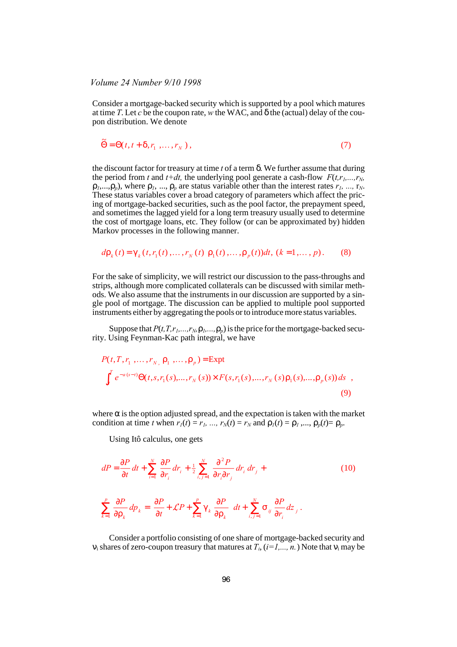Consider a mortgage-backed security which is supported by a pool which matures at time T. Let c be the coupon rate, w the WAC, and  $\delta$  the (actual) delay of the coupon distribution. We denote

$$
\hat{\Theta} = \Theta(t, t + \delta, r_1, \dots, r_N), \tag{7}
$$

the discount factor for treasury at time t of a term  $\delta$ . We further assume that during the period from t and t+dt, the underlying pool generate a cash-flow  $F(t,r_1,...,r_N)$  $\rho_1,...,\rho_p$ , where  $\rho_1,...,\rho_p$  are status variable other than the interest rates  $r_1,...,r_N$ . These status variables cover a broad category of parameters which affect the pricing of mortgage-backed securities, such as the pool factor, the prepayment speed, and sometimes the lagged yield for a long term treasury usually used to determine the cost of mortgage loans, etc. They follow (or can be approximated by) hidden Markov processes in the following manner.

$$
d\mathbf{p}_{k}(t) = \gamma_{k}(t, r_{1}(t), \dots, r_{N}(t) \mathbf{p}_{1}(t), \dots, \mathbf{p}_{N}(t))dt, (k = 1, \dots, p).
$$
 (8)

For the sake of simplicity, we will restrict our discussion to the pass-throughs and strips, although more complicated collaterals can be discussed with similar methods. We also assume that the instruments in our discussion are supported by a single pool of mortgage. The discussion can be applied to multiple pool supported instruments either by aggregating the pools or to introduce more status variables.

Suppose that  $P(t, T, r_1, \ldots, r_N, \rho_1, \ldots, \rho_p)$  is the price for the mortgage-backed security. Using Feynman-Kac path integral, we have

$$
P(t, T, r_1, \dots, r_N, \rho_1, \dots, \rho_p) = \text{Expt}
$$
  
\n
$$
\left[ \int_t^T e^{-a(s-t)} \Theta(t, s, r_1(s), \dots, r_N(s)) \times F(s, r_1(s), \dots, r_N(s) \rho_1(s), \dots, \rho_p(s)) ds \right],
$$
\n(9)

where  $\alpha$  is the option adjusted spread, and the expectation is taken with the market condition at time t when  $r_l(t) = r_l$ , ...,  $r_N(t) = r_N$  and  $\rho_l(t) = \rho_l$ , ...,  $\rho_p(t) = \rho_p$ .

Using Itô calculus, one gets

$$
dP = \frac{\partial P}{\partial t} dt + \sum_{i=1}^{N} \frac{\partial P}{\partial r_i} dr_i + \frac{1}{2} \sum_{i,j=1}^{N} \frac{\partial^2 P}{\partial r_i \partial r_j} dr_i dr_j +
$$
  

$$
\sum_{k=1}^{p} \frac{\partial P}{\partial \rho_k} dp_k = \left[ \frac{\partial P}{\partial t} + \mathcal{L}P + \sum_{k=1}^{p} \gamma_k \frac{\partial P}{\partial \rho_k} \right] dt + \sum_{i,j=1}^{N} \sigma_{ij} \frac{\partial P}{\partial r_i} dz_j.
$$
 (10)

Consider a portfolio consisting of one share of mortgage-backed security and  $v_i$  shares of zero-coupon treasury that matures at  $T_i$ ,  $(i=1,...,n)$ . Note that  $v_i$  may be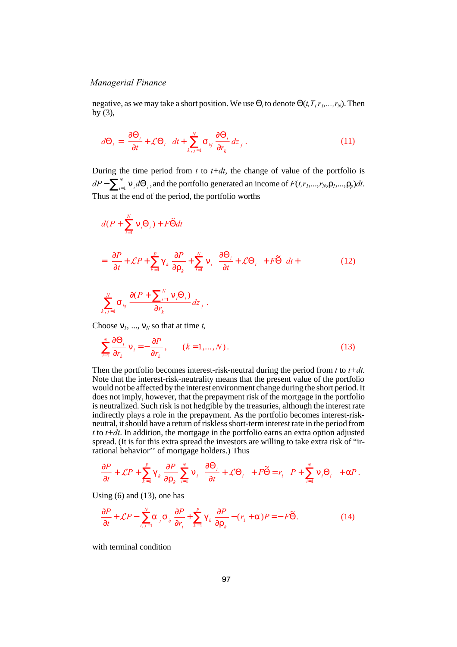negative, as we may take a short position. We use  $\Theta_i$  to denote  $\Theta(t, T_i, r_1, \ldots, r_N)$ . Then by  $(3)$ ,

$$
d\Theta_i = \left(\frac{\partial \Theta_i}{\partial t} + \mathcal{L}\Theta_i\right)dt + \sum_{k,j=1}^N \sigma_{kj}\frac{\partial \Theta_i}{\partial r_k}dz_j.
$$
 (11)

During the time period from  $t$  to  $t+dt$ , the change of value of the portfolio is  $dP - \sum_{i=1}^{N} \nu_i d\Theta_i$ , and the portfolio generated an income of  $F(t, r_1, \ldots, r_N, \rho_1, \ldots, \rho_p) dt$ . Thus at the end of the period, the portfolio worths

$$
d(P + \sum_{i=1}^{N} \mathbf{v}_{i} \Theta_{i}) + F \widetilde{\Theta} dt
$$
\n
$$
= \left[ \frac{\partial P}{\partial t} + \mathcal{L}P + \sum_{k=1}^{p} \gamma_{k} \frac{\partial P}{\partial \rho_{k}} + \sum_{i=1}^{N} \mathbf{v}_{i} \left( \frac{\partial \Theta_{i}}{\partial t} + \mathcal{L} \Theta_{i} \right) + F \widetilde{\Theta} \right] dt +
$$
\n
$$
\sum_{k,j=1}^{N} \sigma_{kj} \frac{\partial (P + \sum_{i=1}^{N} \mathbf{v}_{i} \Theta_{i})}{\partial r_{k}} dz_{j} .
$$
\n(12)

Choose  $V_1$ , ...,  $V_N$  so that at time *t*,

$$
\sum_{i=1}^{N} \frac{\partial \Theta_i}{\partial r_k} \mathbf{v}_i = -\frac{\partial P}{\partial r_k}, \qquad (k = 1, \dots, N). \tag{13}
$$

Then the portfolio becomes interest-risk-neutral during the period from  $t$  to  $t+dt$ . Note that the interest-risk-neutrality means that the present value of the portfolio would not be affected by the interest environment change during the short period. It does not imply, however, that the prepayment risk of the mortgage in the portfolio is neutralized. Such risk is not hedgible by the treasuries, although the interest rate indirectly plays a role in the prepayment. As the portfolio becomes interest-riskneutral, it should have a return of riskless short-term interest rate in the period from *t* to  $t+dt$ . In addition, the mortgage in the portfolio earns an extra option adjusted spread. (It is for this extra spread the investors are willing to take extra risk of "irrational behavior" of mortgage holders.) Thus

$$
\frac{\partial P}{\partial t} + \mathcal{L}P + \sum_{k=1}^p \gamma_k \frac{\partial P}{\partial \rho_k} \sum_{i=1}^N v_i \left( \frac{\partial \Theta_i}{\partial t} + \mathcal{L} \Theta_i \right) + F \widetilde{\Theta} = r_i \left( P + \sum_{i=1}^N v_i \Theta_i \right) + \alpha P.
$$

Using  $(6)$  and  $(13)$ , one has

$$
\frac{\partial P}{\partial t} + \mathcal{L}P - \sum_{i,j=1}^{N} \alpha_{j} \sigma_{ij} \frac{\partial P}{\partial r_{i}} + \sum_{k=1}^{p} \gamma_{k} \frac{\partial P}{\partial \rho_{k}} - (r_{1} + \alpha)P = -F\widetilde{\Theta}.
$$
 (14)

with terminal condition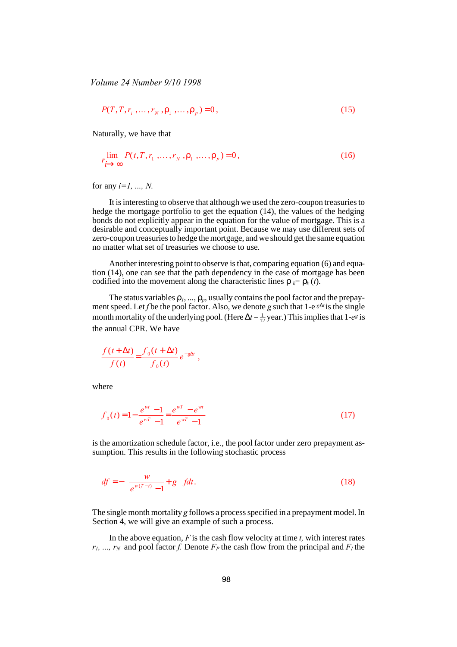$$
P(T, T, r_i, \dots, r_N, \rho_1, \dots, \rho_n) = 0,
$$
\n(15)

Naturally, we have that

$$
r_{\vec{l}\to\infty}^{\text{lim}} P(t, T, r_1, \dots, r_N, \rho_1, \dots, \rho_p) = 0, \tag{16}
$$

for any  $i=1, ..., N$ .

It is interesting to observe that although we used the zero-coupon treasuries to hedge the mortgage portfolio to get the equation (14), the values of the hedging bonds do not explicitly appear in the equation for the value of mortgage. This is a desirable and conceptually important point. Because we may use different sets of zero-coupon treasuries to hedge the mortgage, and we should get the same equation no matter what set of treasuries we choose to use.

Another interesting point to observe is that, comparing equation (6) and equation (14), one can see that the path dependency in the case of mortgage has been codified into the movement along the characteristic lines  $\rho_k = \rho_k(t)$ .

The status variables  $\rho_1, ..., \rho_p$ , usually contains the pool factor and the prepayment speed. Let f be the pool factor. Also, we denote g such that  $1-e^{-g\Delta t}$  is the single month mortality of the underlying pool. (Here  $\Delta t = \frac{1}{12}$  year.) This implies that 1-e<sup>g</sup> is the annual CPR. We have

$$
\frac{f(t+\Delta t)}{f(t)} = \frac{f_0(t+\Delta t)}{f_0(t)} e^{-g\Delta t}
$$

where

$$
f_0(t) = 1 - \frac{e^{wt} - 1}{e^{wt} - 1} = \frac{e^{wt} - e^{wt}}{e^{wt} - 1}
$$
\n(17)

is the amortization schedule factor, i.e., the pool factor under zero prepayment assumption. This results in the following stochastic process

$$
df = -\left(\frac{w}{e^{w(T-t)} - 1} + g\right) f dt. \tag{18}
$$

The single month mortality  $g$  follows a process specified in a prepayment model. In Section 4, we will give an example of such a process.

In the above equation,  $F$  is the cash flow velocity at time  $t$ , with interest rates  $r_1, ..., r_N$  and pool factor f. Denote  $F_P$  the cash flow from the principal and  $F_I$  the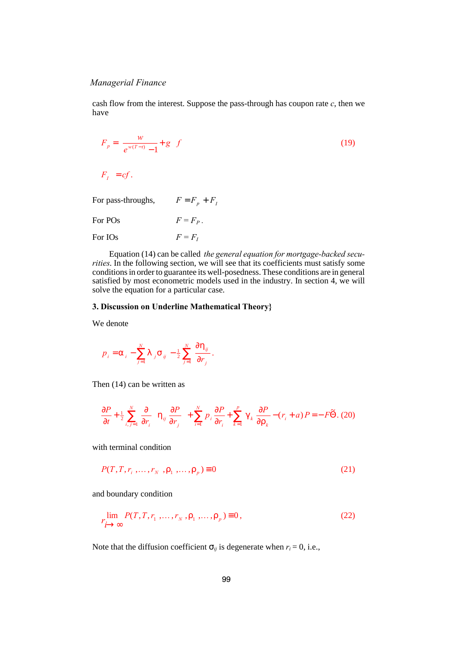cash flow from the interest. Suppose the pass-through has coupon rate  $c$ , then we have

$$
F_p = \left(\frac{w}{e^{w(T-t)} - 1} + g\right) f
$$
\n(19)

 $F_I = cf.$ 

For pass-throughs,  $F = F_p + F_l$ 

For POs  $F = F_p$ .

For IOs  $F = F_I$ 

Equation (14) can be called *the general equation for mortgage-backed securities*. In the following section, we will see that its coefficients must satisfy some conditions in order to guarantee its well-posedness. These conditions are in general satisfied by most econometric models used in the industry. In section 4, we will solve the equation for a particular case.

# **3. Discussion on Underline Mathematical Theory**}

We denote

$$
p_i = \alpha_i - \sum_{j=1}^N \lambda_j \sigma_{ij} - \frac{1}{2} \sum_{j=1}^N \frac{\partial \eta_{ij}}{\partial r_j}.
$$

Then  $(14)$  can be written as

$$
\frac{\partial P}{\partial t} + \frac{1}{2} \sum_{i,j=1}^{N} \frac{\partial}{\partial r_i} \left( \eta_{ij} \frac{\partial P}{\partial r_j} \right) + \sum_{i=1}^{N} p_i \frac{\partial P}{\partial r_i} + \sum_{k=1}^{P} \gamma_k \frac{\partial P}{\partial \rho_k} - (r_i + a) P = -F \widetilde{\Theta}.
$$
 (20)

with terminal condition

$$
P(T, T, r_i, \dots, r_N, \rho_1, \dots, \rho_p) \equiv 0
$$
\n(21)

and boundary condition

$$
r_{\vec{l}\to\infty}^{\text{lim}} P(T, T, r_1, \dots, r_N, \rho_1, \dots, \rho_p) \equiv 0, \qquad (22)
$$

Note that the diffusion coefficient  $\sigma_{ij}$  is degenerate when  $r_i = 0$ , i.e.,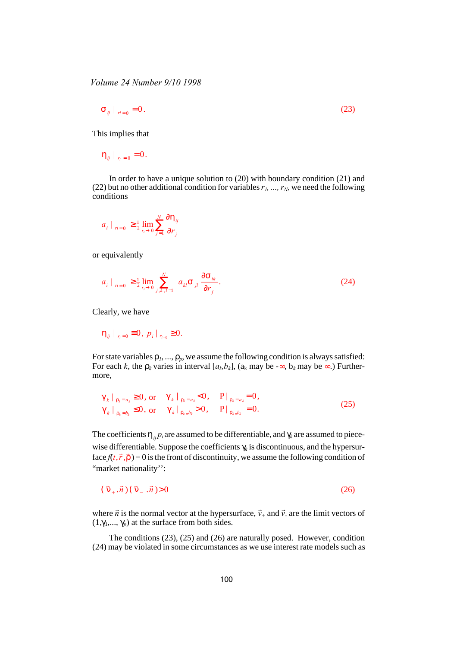$$
\sigma_{ij} \mid_{\vec{n}=0} = 0. \tag{23}
$$

This implies that

 $\eta_{ij}$  |  $_{r_i=0} = 0$ .

In order to have a unique solution to  $(20)$  with boundary condition  $(21)$  and (22) but no other additional condition for variables  $r_1$ , ...,  $r_N$ , we need the following conditions

$$
a_i \mid_{n=0} \ge \frac{1}{2} \lim_{r_i \to 0} \sum_{j=1}^N \frac{\partial \eta_{ij}}{\partial r_j}
$$

or equivalently

$$
a_{i} \mid_{n=0} \geq \frac{1}{2} \lim_{r_{i} \to 0} \sum_{j,k,l=1}^{N} a_{kl} \sigma_{jl} \frac{\partial \sigma_{ik}}{\partial r_{j}}.
$$
 (24)

Clearly, we have

$$
\eta_{ij} \mid_{r_i=0} \equiv 0, \ p_i \mid_{r_{i=0}} \geq 0.
$$

For state variables  $\rho_1, ..., \rho_p$ , we assume the following condition is always satisfied: For each *k*, the  $\rho_k$  varies in interval  $[a_k, b_k]$ ,  $(a_k \text{ may be } -\infty, b_k \text{ may be } \infty$ .) Furthermore,

$$
\gamma_k \mid_{\rho_k = a_k} \ge 0, \text{ or } \gamma_k \mid_{\rho_k = a_k} < 0, \quad P \mid_{\rho_k = a_k} = 0,
$$
\n
$$
\gamma_k \mid_{\rho_k = b_k} \le 0, \text{ or } \gamma_k \mid_{\rho_k = b_k} > 0, \quad P \mid_{\rho_k = b_k} = 0.
$$
\n
$$
(25)
$$

The coefficients  $\eta_{ij} p_i$  are assumed to be differentiable, and  $\gamma_k$  are assumed to piecewise differentiable. Suppose the coefficients  $\gamma_k$  is discontinuous, and the hypersur $face f(t, \vec{r}, \vec{\rho}) = 0$  is the front of discontinuity, we assume the following condition of "market nationality":

$$
(\vec{\mathbf{v}}_{+}.\vec{n})(\vec{\mathbf{v}}_{-}.\vec{n}) > 0 \tag{26}
$$

where  $\vec{n}$  is the normal vector at the hypersurface,  $\vec{v}_+$  and  $\vec{v}_-$  are the limit vectors of  $(1,\gamma_1,...,\gamma_p)$  at the surface from both sides.

The conditions  $(23)$ ,  $(25)$  and  $(26)$  are naturally posed. However, condition  $(24)$  may be violated in some circum stances as we use interest rate models such as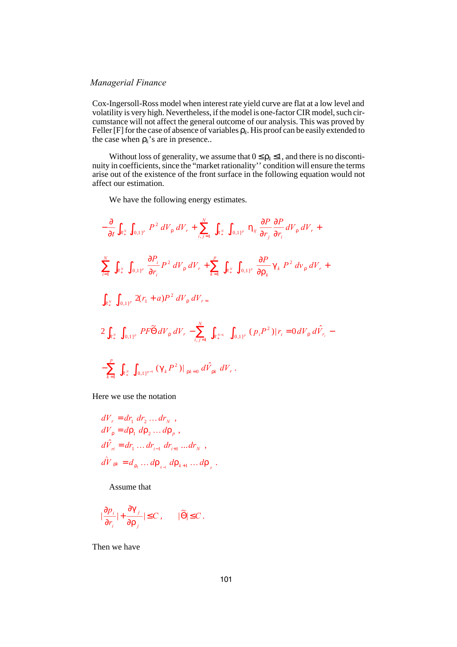Cox-Ingersoll-Ross model when interest rate yield curve are flat at a low level and volatility is very high. Nevertheless, if the model is one-factor CIR model, such circum stance will not affect the general outcome of our analysis. This was proved by Feller [F] for the case of absence of variables  $\rho_k$ . His proof can be easily extended to the case when  $\rho_k$ 's are in presence..

Without loss of generality, we assume that  $0 \le \rho_k \le 1$ , and there is no discontinuity in coefficients, since the "market rationality" condition will ensure the terms arise out of the existence of the front surface in the following equation would not affect our estimation.

We have the following energy estimates.

$$
-\frac{\partial}{\partial t}\int_{R_{+}^{N}}\int_{[0,1]^{p}} P^{2} dV_{\rho} dV_{r} + \sum_{i,j=1}^{N}\int_{R_{+}^{N}}\int_{[0,1]^{p}} \eta_{ij} \frac{\partial P}{\partial r_{j}} \frac{\partial P}{\partial r_{i}} dV_{\rho} dV_{r} +
$$
\n
$$
\sum_{i=1}^{N}\int_{R_{+}^{N}}\int_{[0,1]^{p}} \frac{\partial P_{i}}{\partial r_{i}} P^{2} dV_{\rho} dV_{r} + \sum_{k=1}^{p}\int_{R_{+}^{N}}\int_{[0,1]^{p}} \frac{\partial P}{\partial \rho_{k}} \gamma_{k} P^{2} d\nu_{\rho} dV_{r} +
$$
\n
$$
\int_{R_{+}^{N}}\int_{[0,1]^{p}} 2(r_{1} + a) P^{2} dV_{\rho} dV_{r} =
$$
\n
$$
2\int_{R_{+}^{N}}\int_{[0,1]^{p}} PF \widetilde{\Theta} dV_{\rho} dV_{r} - \sum_{i,j=1}^{N}\int_{R_{+}^{N-1}}\int_{[0,1]^{p}} (p_{i} P^{2}) |r_{i} = 0 dV_{\rho} d\widehat{V}_{r_{i}} -
$$
\n
$$
-\sum_{k=1}^{p}\int_{R_{+}^{N}}\int_{[0,1]^{p-1}} (\gamma_{k} P^{2}) |_{pk=0} d\widehat{V}_{pk} dV_{r}.
$$

Here we use the notation

$$
dV_{r} = dr_{1} dr_{2} ... dr_{N} ,
$$
  
\n
$$
dV_{p} = d\rho_{1} d\rho_{2} ... d\rho_{p} ,
$$
  
\n
$$
d\hat{V}_{ri} = dr_{1} ... dr_{i-1} dr_{i+1} ... dr_{N} ,
$$
  
\n
$$
d\hat{V}_{pk} = d_{\rho_{1}} ... d\rho_{k-1} d\rho_{k+1} ... d\rho_{p} .
$$

Assume that

$$
|\frac{\partial p_i}{\partial r_i}| + \frac{\partial \gamma_j}{\partial \rho_j}| \leq C, \qquad |\widetilde{\Theta}| \leq C.
$$

Then we have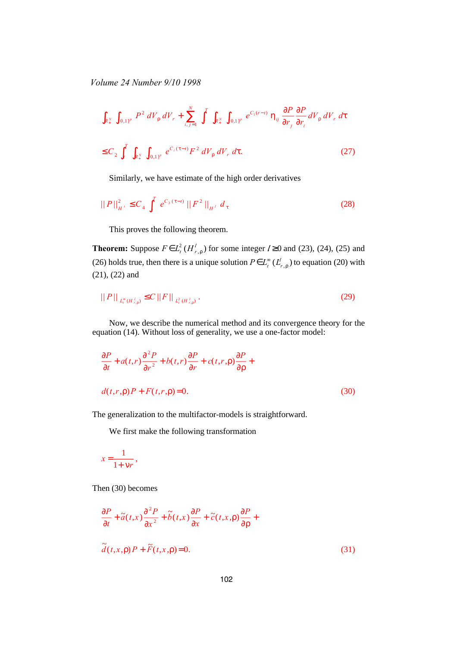$$
\int_{R_+^N} \int_{[0,1]^p} P^2 dV_{\rho} dV_r + \sum_{i,j=1}^N \int_t^T \int_{R_+^N} \int_{[0,1]^p} e^{C_1(r-t)} \eta_{ij} \frac{\partial P}{\partial r_j} \frac{\partial P}{\partial r_i} dV_{\rho} dV_r d\tau
$$
\n
$$
\leq C_2 \int_t^T \int_{R_+^N} \int_{[0,1]^p} e^{C_i(\tau-t)} F^2 dV_{\rho} dV_r d\tau.
$$
\n(27)

Similarly, we have estimate of the high order derivatives

$$
||P||_{H^{\frac{1}{\ell}}}^{2} \leq C_{4} \int_{t}^{T} e^{C_{3}(\tau-t)} ||F^{2}||_{H^{\frac{1}{\ell}}} d_{\tau}
$$
 (28)

This proves the following theorem.

**Theorem:** Suppose  $F \in L^2$  ( $H^1$ ,  $\rho$ ) for some integer  $l \ge 0$  and (23), (24), (25) and (26) holds true, then there is a unique solution  $P \in L^{\infty}_t(L^{\prime}_{r,\rho})$  to equation (20) with (21), (22) and

$$
||P||_{L_t^{\infty}(H_{r,\rho}^l)} \leq C||F||_{L_t^2(H_{r,\rho}^l)}.
$$
\n(29)

Now, we describe the numerical method and its convergence theory for the equation (14). Without loss of generality, we use a one-factor model:

$$
\frac{\partial P}{\partial t} + a(t,r) \frac{\partial^2 P}{\partial r^2} + b(t,r) \frac{\partial P}{\partial r} + c(t,r,\rho) \frac{\partial P}{\partial \rho} + d(t,r,\rho) P + F(t,r,\rho) = 0.
$$
\n(30)

The generalization to the multifactor-models is straightforward.

We first make the following transformation

$$
x=\frac{1}{1+\nu r},
$$

Then (30) becomes

$$
\frac{\partial P}{\partial t} + \tilde{a}(t, x) \frac{\partial^2 P}{\partial x^2} + \tilde{b}(t, x) \frac{\partial P}{\partial x} + \tilde{c}(t, x, \rho) \frac{\partial P}{\partial \rho} + \tilde{d}(t, x, \rho) P + \tilde{F}(t, x, \rho) = 0.
$$
\n(31)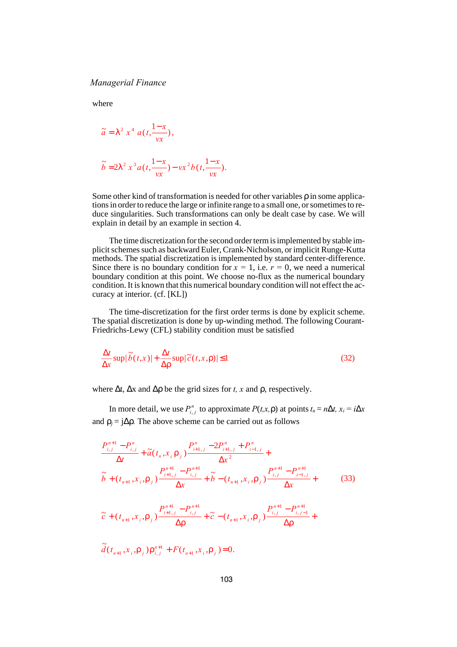where

$$
\widetilde{a} = \lambda^2 x^4 a(t, \frac{1-x}{vx}),
$$
  

$$
\widetilde{b} = 2\lambda^2 x^3 a(t, \frac{1-x}{vx}) - vx^2 b(t, \frac{1-x}{vx}).
$$

Some other kind of transformation is needed for other variables  $\rho$  in some applications in order to reduce the large or infinite range to a small one, or sometimes to reduce singularities. Such transformations can only be dealt case by case. We will explain in detail by an example in section 4.

The time discretization for the second order term is implemented by stable implicit schemes such as back ward Euler, Crank- Nicholson, or im plicit Runge- Kutta methods. The spatial discretization is implemented by standard center-difference. Since there is no boundary condition for  $x = 1$ , i.e.  $r = 0$ , we need a numerical boundary condition at this point. We choose no-flux as the numerical boundary condition. It is known that this numerical boundary condition will not effect the accuracy at interior. (cf. [KL])

The time-discretization for the first order terms is done by explicit scheme. The spatial discretization is done by up-winding method. The following Courant-Friedrichs-Lewy (CFL) stability condition must be satisfied

$$
\frac{\Delta t}{\Delta x} \sup |\tilde{b}(t,x)| + \frac{\Delta t}{\Delta \rho} \sup |\tilde{c}(t,x,\rho)| \le 1
$$
\n(32)

where  $\Delta t$ ,  $\Delta x$  and  $\Delta \rho$  be the grid sizes for *t*, *x* and  $\rho$ , respectively.

In more detail, we use  $P_{i,j}^n$  $P(t, x, \rho)$  at points  $t_n = n\Delta t$ ,  $x_i = i\Delta x$ and  $\rho_i = j\Delta\rho$ . The above scheme can be carried out as follows

$$
\frac{P_{i,j}^{n+1} - P_{i,j}^{n}}{\Delta t} + \tilde{a}(t_n, x_i \rho_j) \frac{P_{i+1,j}^{n} - 2P_{i+1,j}^{n} + P_{i-1,j}^{n}}{\Delta x^2} + \tilde{b} + (t_{n+1}, x_i, \rho_j) \frac{P_{i+1,j}^{n+1} - P_{i,j}^{n+1}}{\Delta x} + \tilde{b} - (t_{n+1}, x_i, \rho_j) \frac{P_{i,j}^{n+1} - P_{i-1,j}^{n+1}}{\Delta x} + \qquad (33)
$$

$$
\widetilde{c} + (t_{n+1}, x_i, \rho_j) \frac{P_{i+1,j}^{n+1} - P_{i,j}^{n+1}}{\Delta \rho} + \widetilde{c} - (t_{n+1}, x_i, \rho_j) \frac{P_{i,j}^{n+1} - P_{i,j-1}^{n+1}}{\Delta \rho} +
$$

$$
\widetilde{d}(t_{n+1}, x_i, \rho_j) \rho_{i,j}^{n+1} + F(t_{n+1}, x_i, \rho_j) = 0.
$$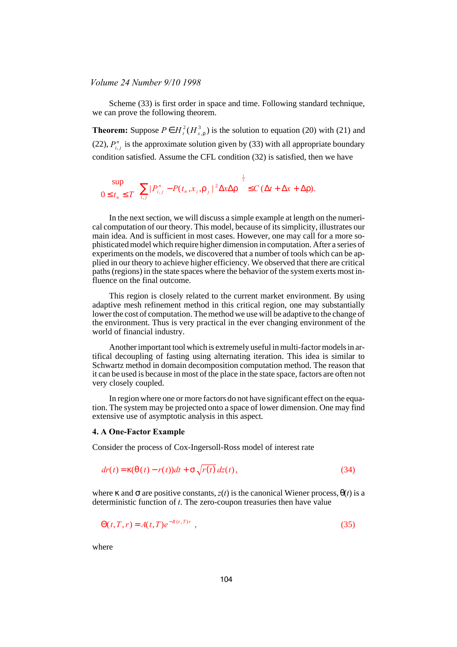Scheme (33) is first order in space and time. Following standard technique, we can prove the following theorem.

**Theorem:** Suppose  $P \in H^2$  ( $H^3$ ,  $\rho$ ) is the solution to equation (20) with (21) and  $(22), P_{i,j}^n$  $_{i,j}^n$  is the approximate solution given by (33) with all appropriate boundary condition satisfied. Assume the CFL condition  $(32)$  is satisfied, then we have

$$
\sup_{0 \leq t_n \leq T} \left( \sum_{i,j} |P_{i,j}^n - P(t_n, x_i, \rho_j)|^2 \Delta x \Delta \rho \right)^{\frac{1}{2}} \leq C \left( \Delta t + \Delta x + \Delta \rho \right).
$$

In the next section, we will discuss a simple example at length on the numerical computation of our theory. This model, because of its simplicity, illustrates our main idea. And is sufficient in most cases. However, one may call for a more sophisticated model which require higher dimension in computation. After a series of experiments on the models, we discovered that a number of tools which can be applied in our theory to achieve higher efficiency. We observed that there are critical paths (regions) in the state spaces where the behavior of the system exerts most influence on the final outcome.

This region is closely related to the current market environment. By using adaptive mesh refinement method in this critical region, one may substantially lower the cost of computation. The method we use will be adaptive to the change of the environment. Thus is very practical in the ever changing environment of the world of financial industry.

Another important tool which is extremely useful in multi-factor models in artifical decoupling of fasting using alternating iteration. This idea is similar to Schwartz method in domain decomposition computation method. The reason that it can be used is because in most of the place in the state space, factors are often not very closely coupled.

In region where one or more factors do not have significant effect on the equation. The system may be projected onto a space of lower dimension. One may find extensive use of asymptotic analysis in this aspect.

#### **4. A One-Factor Example**

Consider the process of Cox-Ingersoll-Ross model of interest rate

$$
dr(t) = \kappa(\theta(t) - r(t))dt + \sigma\sqrt{r(t)} dz(t),
$$
\n(34)

where  $\kappa$  and  $\sigma$  are positive constants,  $z(t)$  is the canonical Wiener process,  $\theta(t)$  is a deterministic function of *t*. The zero-coupon treasuries then have value

$$
\Theta(t,T,r) = A(t,T)e^{-B(t,T)r} \tag{35}
$$

where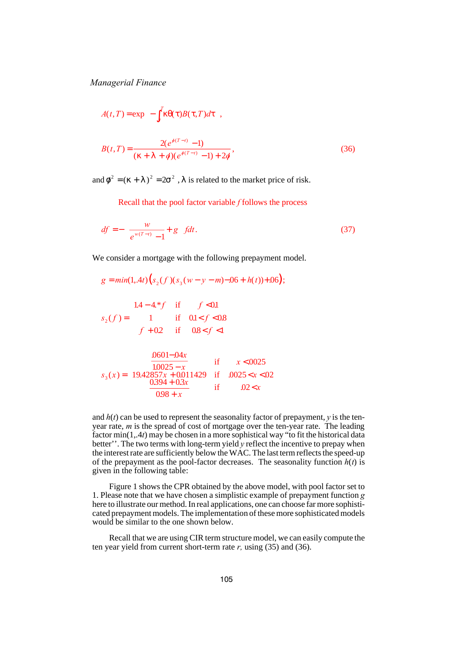$$
A(t,T) = \exp\left(-\int_t^T \kappa \theta(\tau) B(\tau,T) d\tau\right),
$$
  

$$
B(t,T) = \frac{2(e^{\rho(T-t)} - 1)}{(\kappa + \lambda + \phi)(e^{\rho(T-t)} - 1) + 2\phi},
$$
 (36)

and  $\varphi^2 = (\kappa + \lambda)^2 = 2\sigma^2$ ,  $\lambda$  is related to the market price of risk.

Recall that the pool factor variable *f* follows the process

$$
df = -\left(\frac{w}{e^{w(T-t)} - 1} + g\right) f dt. \tag{37}
$$

We consider a mortgage with the following prepayment model.

$$
g = min(1, 4t) \Big( s_2(f) \Big( s_3(w - y - m) - 06 + h(t) \Big) + 06 \Big);
$$
  
\n
$$
s_2(f) = \begin{cases} 1.4 - 4.7f & \text{if } f < 0.1 \\ 1 & \text{if } 0.1 < f < 0.8 \\ f + 0.2 & \text{if } 0.8 < f < 1 \end{cases}
$$
  
\n
$$
s_3(x) = \begin{cases} \frac{0.601 - 0.04x}{1.0025 - x} & \text{if } x < 0.0025 \\ 19.42857x + 0.011429 & \text{if } 0.025 < x < 0.02 \\ \frac{0.394 + 0.3x}{0.98 + x} & \text{if } 0.2 < x \end{cases}
$$

and  $h(t)$  can be used to represent the seasonality factor of prepayment,  $y$  is the tenyear rate,  *is the spread of cost of mortgage over the ten-year rate. The leading* factor  $min(1, 4t)$  may be chosen in a more sophistical way "to fit the historical data better''. The two terms with long-term yield  $\hat{y}$  reflect the incentive to prepay when the interest rate are sufficiently below the WAC. The last term reflects the speed-up of the prepayment as the pool-factor decreases. The seasonality function  $h(t)$  is given in the following table:

Figure 1 shows the CPR obtained by the above model, with pool factor set to 1. Please note that we have chosen a simplistic example of prepayment function  $g$ here to illustrate our method. In real applications, one can choose far more sophisticated prepayment models. The implementation of these more sophisticated models would be similar to the one shown below.

Recall that we are using CIR term structure model, we can easily compute the ten year yield from current short-term rate  $r$ , using (35) and (36).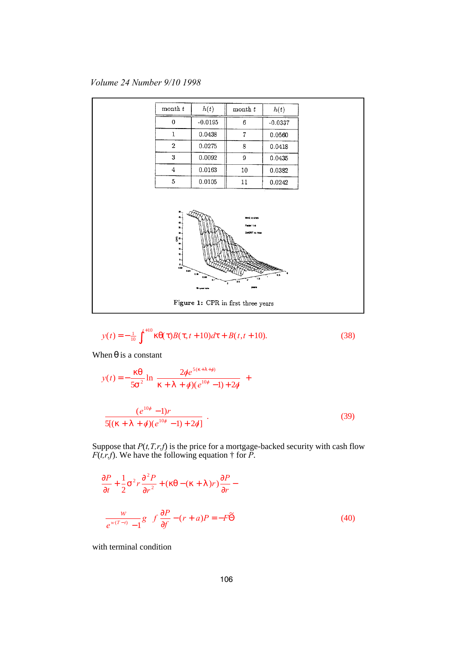

$$
y(t) = -\frac{1}{10} \int_{t}^{t+10} \kappa \theta(\tau) B(\tau, t+10) d\tau + B(t, t+10). \tag{38}
$$

When  $\theta$  is a constant

$$
y(t) = -\frac{\kappa\theta}{5\sigma^2} \ln\left[\frac{2\varphi e^{5(\kappa+\lambda+\rho)}}{\kappa+\lambda+\varphi(e^{10\rho}-1)+2\varphi}\right] +
$$

$$
\left[\frac{(e^{10\rho}-1)r}{5[(\kappa+\lambda+\varphi)(e^{10\rho}-1)+2\varphi]}\right].
$$
(39)

Suppose that  $P(t, T, r, f)$  is the price for a mortgage-backed security with cash flow *F*( $\hat{t}, \hat{r}, \hat{f}$ ). We have the following equation † for  $\hat{P}$ .

$$
\frac{\partial P}{\partial t} + \frac{1}{2}\sigma^2 r \frac{\partial^2 P}{\partial r^2} + (\kappa \theta - (\kappa + \lambda)r) \frac{\partial P}{\partial r} -
$$

$$
\left(\frac{w}{e^{w(T-t)} - 1}g\right) f \frac{\partial P}{\partial f} - (r + a)P = -F\tilde{\Theta}
$$
(40)

with terminal condition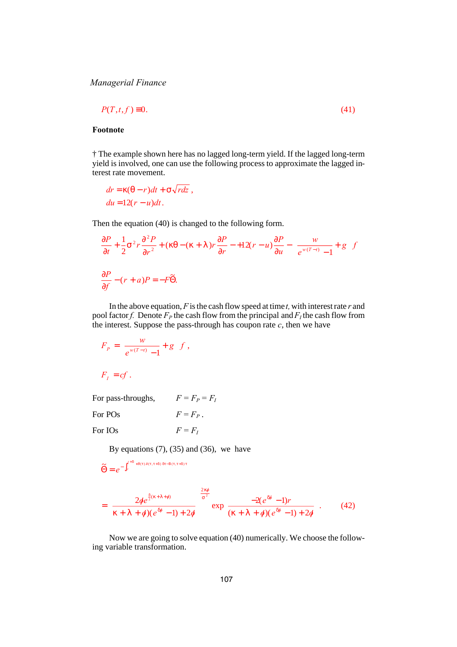$$
P(T, t, f) \equiv 0. \tag{41}
$$

# **Footnote**

† The ex am ple shown here has no lagged long- term yield. If the lagged long- term yield is involved, one can use the following process to approximate the lagged interest rate movement.

$$
\begin{cases} dr = \kappa(\theta - r)dt + \sigma \sqrt{r dz} , \\ du = 12(r - u)dt . \end{cases}
$$

Then the equation  $(40)$  is changed to the following form.

$$
\frac{\partial P}{\partial t} + \frac{1}{2}\sigma^2 r \frac{\partial^2 P}{\partial r^2} + (\kappa \theta - (\kappa + \lambda)r \frac{\partial P}{\partial r} - +12(r - u)\frac{\partial P}{\partial u} - \left(\frac{w}{e^{w(T-t)} - 1} + g\right)f
$$
  

$$
\frac{\partial P}{\partial f} - (r + a)P = -F\tilde{\Theta}.
$$

In the above equation,  $F$  is the cash flow speed at time  $t$ , with interest rate  $r$  and pool factor *f*. Denote  $F_P$  the cash flow from the principal and  $F_I$  the cash flow from the interest. Suppose the pass-through has coupon rate  $c$ , then we have

$$
F_P = \left(\frac{w}{e^{w(T-t)} - 1} + g\right) f,
$$

 $F_{I} = cf$ .

For pass-throughs,  $F = F_p = F_I$ 

For POs  $F = F_p$ .

For IOs  $F = F_I$ 

By equations  $(7)$ ,  $(35)$  and  $(36)$ , we have

$$
\widetilde{\Theta} = e^{-\int_t^{t+\delta} \kappa \theta(\tau) B(\tau, \tau+\delta) \delta \tau - B(\tau, \tau+\delta) \tau}
$$

$$
= \left(\frac{2\phi e^{\frac{\delta}{2}(\kappa+\lambda+\phi)}}{\kappa+\lambda+\phi(e^{\delta\phi}-1)+2\phi}\right)^{\frac{2\kappa\phi}{\sigma^2}}\exp\left(\frac{-2(e^{\delta\phi}-1)r}{(\kappa+\lambda+\phi)(e^{\delta\phi}-1)+2\phi}\right).
$$
(42)

Now we are going to solve equation (40) numerically. We choose the following variable transformation.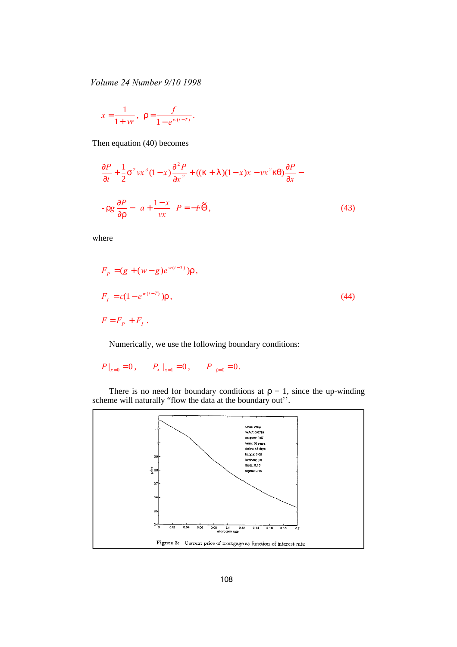$$
x = \frac{1}{1 + v r}, \ \rho = \frac{f}{1 - e^{w(t-T)}}.
$$

Then equation  $(40)$  becomes

$$
\frac{\partial P}{\partial t} + \frac{1}{2}\sigma^2 vx^3 (1-x)\frac{\partial^2 P}{\partial x^2} + ((\kappa + \lambda)(1-x)x - vx^2 \kappa \theta)\frac{\partial P}{\partial x} -
$$
  
-  $\rho g \frac{\partial P}{\partial \rho} - \left(a + \frac{1-x}{vx}\right)P = -F\tilde{\Theta},$  (43)

where

$$
F_p = (g + (w - g)e^{w(t-T)})\rho,
$$
  
\n
$$
F_I = c(1 - e^{w(t-T)})\rho,
$$
  
\n
$$
F = F_p + F_I.
$$
\n(44)

Numerically, we use the following boundary conditions:

$$
P|_{x=0} = 0
$$
,  $P_x|_{x=1} = 0$ ,  $P|_{p=0} = 0$ .

There is no need for boundary conditions at  $\rho = 1$ , since the up-winding scheme will naturally "flow the data at the boundary out".